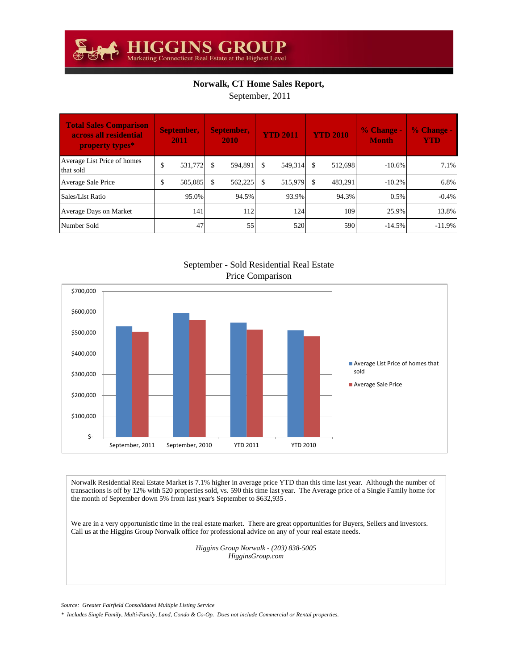## **Norwalk, CT Home Sales Report,**

September, 2011

| <b>Total Sales Comparison</b><br>across all residential<br>property types* | September,<br>2011 |         | September,<br>2010 |         | <b>YTD 2011</b> |         | <b>YTD 2010</b> |         | $%$ Change -<br><b>Month</b> | % Change -<br><b>YTD</b> |
|----------------------------------------------------------------------------|--------------------|---------|--------------------|---------|-----------------|---------|-----------------|---------|------------------------------|--------------------------|
| Average List Price of homes<br>that sold                                   | \$                 | 531,772 | \$                 | 594,891 | \$              | 549,314 |                 | 512.698 | $-10.6\%$                    | 7.1%                     |
| Average Sale Price                                                         | \$                 | 505,085 | \$.                | 562,225 | \$              | 515,979 | - \$            | 483,291 | $-10.2\%$                    | 6.8%                     |
| Sales/List Ratio                                                           |                    | 95.0%   |                    | 94.5%   |                 | 93.9%   |                 | 94.3%   | 0.5%                         | $-0.4%$                  |
| Average Days on Market                                                     |                    | 141     |                    | 112     |                 | 124     |                 | 109     | 25.9%                        | 13.8%                    |
| Number Sold                                                                |                    | 47      |                    | 55      |                 | 520     |                 | 590     | $-14.5%$                     | $-11.9%$                 |



September - Sold Residential Real Estate Price Comparison

Norwalk Residential Real Estate Market is 7.1% higher in average price YTD than this time last year. Although the number of transactions is off by 12% with 520 properties sold, vs. 590 this time last year. The Average price of a Single Family home for the month of September down 5% from last year's September to \$632,935 .

We are in a very opportunistic time in the real estate market. There are great opportunities for Buyers, Sellers and investors. Call us at the Higgins Group Norwalk office for professional advice on any of your real estate needs.

> *Higgins Group Norwalk - (203) 838-5005 HigginsGroup.com*

*Source: Greater Fairfield Consolidated Multiple Listing Service*

*\* Includes Single Family, Multi-Family, Land, Condo & Co-Op. Does not include Commercial or Rental properties.*